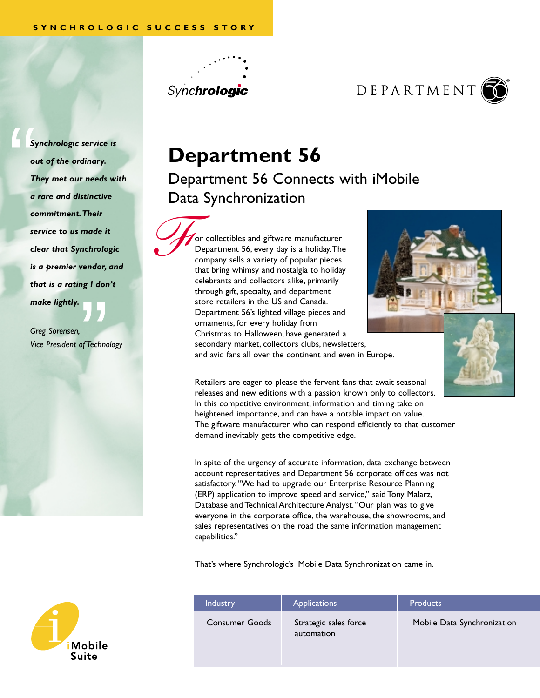*F*





**Department 56** 

Department 56 Connects with iMobile Data Synchronization

or collectibles and giftware manufacturer Department 56, every day is a holiday.The company sells a variety of popular pieces that bring whimsy and nostalgia to holiday celebrants and collectors alike, primarily through gift, specialty, and department store retailers in the US and Canada. Department 56's lighted village pieces and ornaments, for every holiday from Christmas to Halloween, have generated a secondary market, collectors clubs, newsletters, and avid fans all over the continent and even in Europe.



Retailers are eager to please the fervent fans that await seasonal releases and new editions with a passion known only to collectors. In this competitive environment, information and timing take on heightened importance, and can have a notable impact on value. The giftware manufacturer who can respond efficiently to that customer demand inevitably gets the competitive edge.

In spite of the urgency of accurate information, data exchange between account representatives and Department 56 corporate offices was not satisfactory."We had to upgrade our Enterprise Resource Planning (ERP) application to improve speed and service," said Tony Malarz, Database and Technical Architecture Analyst."Our plan was to give everyone in the corporate office, the warehouse, the showrooms, and sales representatives on the road the same information management capabilities."

That's where Synchrologic's iMobile Data Synchronization came in.

| <b>Industry</b>       | <b>Applications</b>                 | <b>Products</b>              |
|-----------------------|-------------------------------------|------------------------------|
| <b>Consumer Goods</b> | Strategic sales force<br>automation | iMobile Data Synchronization |

 $\begin{array}{c}\nS_y \\
\hline\n\end{array}$ *Synchrologic service is out of the ordinary. They met our needs with a rare and distinctive commitment.Their service to us made it clear that Synchrologic is a premier vendor, and that is a rating I don't make lightly.*

"<br>of Techno *Greg Sorensen, Vice President of Technology*

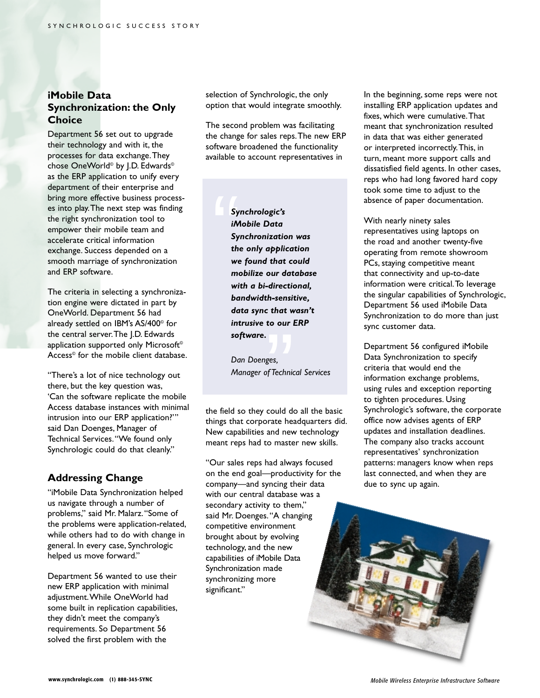#### **iMobile Data Synchronization: the Only Choice**

Department 56 set out to upgrade their technology and with it, the processes for data exchange.They chose OneWorld<sup>®</sup> by J.D. Edwards<sup>®</sup> as the ERP application to unify every department of their enterprise and bring more effective business processes into play.The next step was finding the right synchronization tool to empower their mobile team and accelerate critical information exchange. Success depended on a smooth marriage of synchronization and ERP software.

The criteria in selecting a synchronization engine were dictated in part by OneWorld. Department 56 had already settled on IBM's AS/400© for the central server.The J.D. Edwards application supported only Microsoft<sup>®</sup> Access© for the mobile client database.

"There's a lot of nice technology out there, but the key question was, 'Can the software replicate the mobile Access database instances with minimal intrusion into our ERP application?'" said Dan Doenges, Manager of Technical Services."We found only Synchrologic could do that cleanly."

#### **Addressing Change**

"iMobile Data Synchronization helped us navigate through a number of problems," said Mr. Malarz."Some of the problems were application-related, while others had to do with change in general. In every case, Synchrologic helped us move forward."

Department 56 wanted to use their new ERP application with minimal adjustment.While OneWorld had some built in replication capabilities, they didn't meet the company's requirements. So Department 56 solved the first problem with the

selection of Synchrologic, the only option that would integrate smoothly.

The second problem was facilitating the change for sales reps.The new ERP software broadened the functionality available to account representatives in

Sy<br>
Sy<br>
iM<br>
Sy<br>
the<br>
we *Synchrologic's iMobile Data Synchronization was the only application we found that could mobilize our database with a bi-directional, bandwidth-sensitive, data sync that wasn't intrusive to our ERP software.*

to can<br>ges,<br>fTechnic<br>... *Dan Doenges, Manager of Technical Services*

the field so they could do all the basic things that corporate headquarters did. New capabilities and new technology meant reps had to master new skills.

"Our sales reps had always focused on the end goal—productivity for the company—and syncing their data with our central database was a secondary activity to them," said Mr. Doenges."A changing competitive environment brought about by evolving technology, and the new capabilities of iMobile Data Synchronization made synchronizing more significant."

In the beginning, some reps were not installing ERP application updates and fixes, which were cumulative.That meant that synchronization resulted in data that was either generated or interpreted incorrectly.This, in turn, meant more support calls and dissatisfied field agents. In other cases, reps who had long favored hard copy took some time to adjust to the absence of paper documentation.

With nearly ninety sales representatives using laptops on the road and another twenty-five operating from remote showroom PCs, staying competitive meant that connectivity and up-to-date information were critical.To leverage the singular capabilities of Synchrologic, Department 56 used iMobile Data Synchronization to do more than just sync customer data.

Department 56 configured iMobile Data Synchronization to specify criteria that would end the information exchange problems, using rules and exception reporting to tighten procedures. Using Synchrologic's software, the corporate office now advises agents of ERP updates and installation deadlines. The company also tracks account representatives' synchronization patterns: managers know when reps last connected, and when they are due to sync up again.

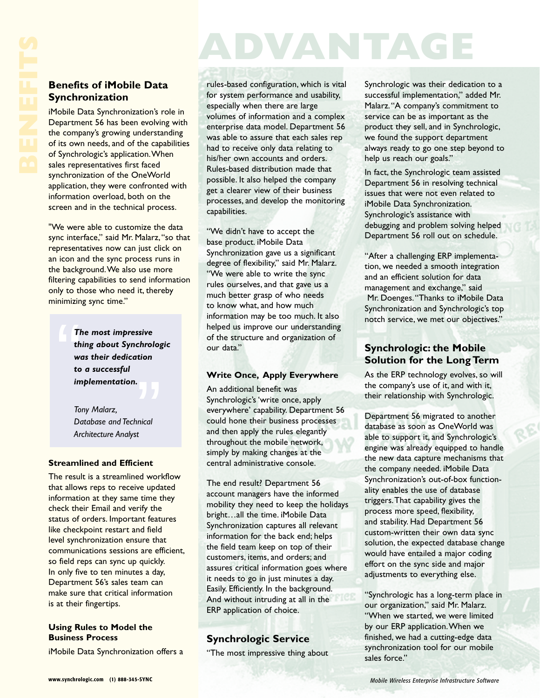# **ADVANTAGE**

### **Benefits of iMobile Data Synchronization**

iMobile Data Synchronization's role in Department 56 has been evolving with the company's growing understanding of its own needs, and of the capabilities of Synchrologic's application.When sales representatives first faced synchronization of the OneWorld application, they were confronted with information overload, both on the screen and in the technical process.

"We were able to customize the data sync interface," said Mr. Malarz,"so that representatives now can just click on an icon and the sync process runs in the background.We also use more filtering capabilities to send information only to those who need it, thereby minimizing sync time."

" *The most impressive thing about Synchrologic was their dedication to a successful implementation.*

 $\begin{bmatrix} 1 \\ 2 \end{bmatrix}$ <br> $\begin{bmatrix} 1 \\ 2 \end{bmatrix}$ <br> $\begin{bmatrix} 1 \\ 2 \end{bmatrix}$ *Tony Malarz, Database and Technical Architecture Analyst*

#### **Streamlined and Efficient**

The result is a streamlined workflow that allows reps to receive updated information at they same time they check their Email and verify the status of orders. Important features like checkpoint restart and field level synchronization ensure that communications sessions are efficient, so field reps can sync up quickly. In only five to ten minutes a day, Department 56's sales team can make sure that critical information is at their fingertips.

#### **Using Rules to Model the Business Process**

iMobile Data Synchronization offers a

rules-based configuration, which is vital for system performance and usability, especially when there are large volumes of information and a complex enterprise data model. Department 56 was able to assure that each sales rep had to receive only data relating to his/her own accounts and orders. Rules-based distribution made that possible. It also helped the company get a clearer view of their business processes, and develop the monitoring capabilities.

"We didn't have to accept the base product. iMobile Data Synchronization gave us a significant degree of flexibility," said Mr. Malarz. "We were able to write the sync rules ourselves, and that gave us a much better grasp of who needs to know what, and how much information may be too much. It also helped us improve our understanding of the structure and organization of our data."

#### **Write Once, Apply Everywhere**

An additional benefit was Synchrologic's 'write once, apply everywhere' capability. Department 56 could hone their business processes and then apply the rules elegantly throughout the mobile network, simply by making changes at the central administrative console.

The end result? Department 56 account managers have the informed mobility they need to keep the holidays bright…all the time. iMobile Data Synchronization captures all relevant information for the back end; helps the field team keep on top of their customers, items, and orders; and assures critical information goes where it needs to go in just minutes a day. Easily. Efficiently. In the background. And without intruding at all in the ERP application of choice.

## **Synchrologic Service**

"The most impressive thing about

Synchrologic was their dedication to a successful implementation," added Mr. Malarz."A company's commitment to service can be as important as the product they sell, and in Synchrologic, we found the support department always ready to go one step beyond to help us reach our goals."

In fact, the Synchrologic team assisted Department 56 in resolving technical issues that were not even related to iMobile Data Synchronization. Synchrologic's assistance with debugging and problem solving helped Department 56 roll out on schedule.

"After a challenging ERP implementation, we needed a smooth integration and an efficient solution for data management and exchange," said Mr. Doenges."Thanks to iMobile Data Synchronization and Synchrologic's top notch service, we met our objectives."

#### **Synchrologic: the Mobile Solution for the Long Term**

As the ERP technology evolves, so will the company's use of it, and with it, their relationship with Synchrologic.

Department 56 migrated to another database as soon as OneWorld was able to support it, and Synchrologic's engine was already equipped to handle the new data capture mechanisms that the company needed. iMobile Data Synchronization's out-of-box functionality enables the use of database triggers.That capability gives the process more speed, flexibility, and stability. Had Department 56 custom-written their own data sync solution, the expected database change would have entailed a major coding effort on the sync side and major adjustments to everything else.

"Synchrologic has a long-term place in our organization," said Mr. Malarz. "When we started, we were limited by our ERP application.When we finished, we had a cutting-edge data synchronization tool for our mobile sales force."